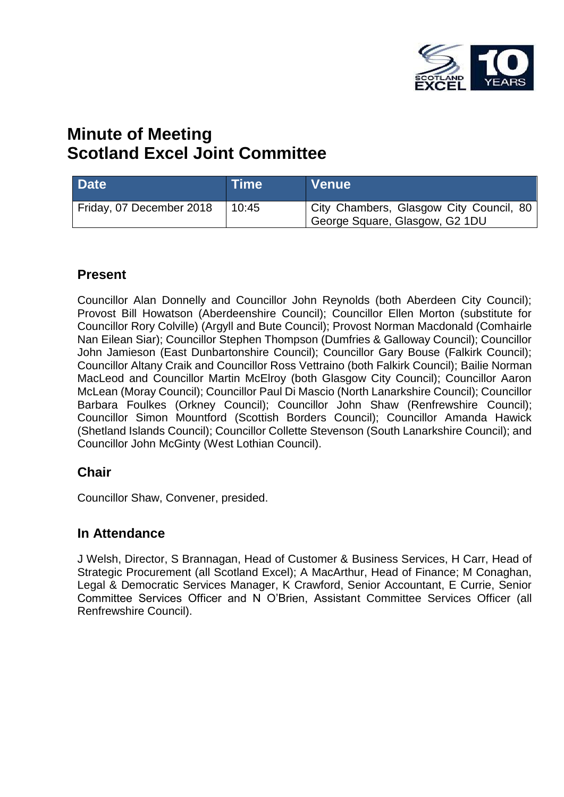

# **Minute of Meeting Scotland Excel Joint Committee**

| Date <sup>1</sup>        | <b>Time</b> | <b>Venue</b>                                                              |
|--------------------------|-------------|---------------------------------------------------------------------------|
| Friday, 07 December 2018 | 10:45       | City Chambers, Glasgow City Council, 80<br>George Square, Glasgow, G2 1DU |

### **Present**

Councillor Alan Donnelly and Councillor John Reynolds (both Aberdeen City Council); Provost Bill Howatson (Aberdeenshire Council); Councillor Ellen Morton (substitute for Councillor Rory Colville) (Argyll and Bute Council); Provost Norman Macdonald (Comhairle Nan Eilean Siar); Councillor Stephen Thompson (Dumfries & Galloway Council); Councillor John Jamieson (East Dunbartonshire Council); Councillor Gary Bouse (Falkirk Council); Councillor Altany Craik and Councillor Ross Vettraino (both Falkirk Council); Bailie Norman MacLeod and Councillor Martin McElroy (both Glasgow City Council); Councillor Aaron McLean (Moray Council); Councillor Paul Di Mascio (North Lanarkshire Council); Councillor Barbara Foulkes (Orkney Council); Councillor John Shaw (Renfrewshire Council); Councillor Simon Mountford (Scottish Borders Council); Councillor Amanda Hawick (Shetland Islands Council); Councillor Collette Stevenson (South Lanarkshire Council); and Councillor John McGinty (West Lothian Council).

### **Chair**

Councillor Shaw, Convener, presided.

### **In Attendance**

J Welsh, Director, S Brannagan, Head of Customer & Business Services, H Carr, Head of Strategic Procurement (all Scotland Excel); A MacArthur, Head of Finance; M Conaghan, Legal & Democratic Services Manager, K Crawford, Senior Accountant, E Currie, Senior Committee Services Officer and N O'Brien, Assistant Committee Services Officer (all Renfrewshire Council).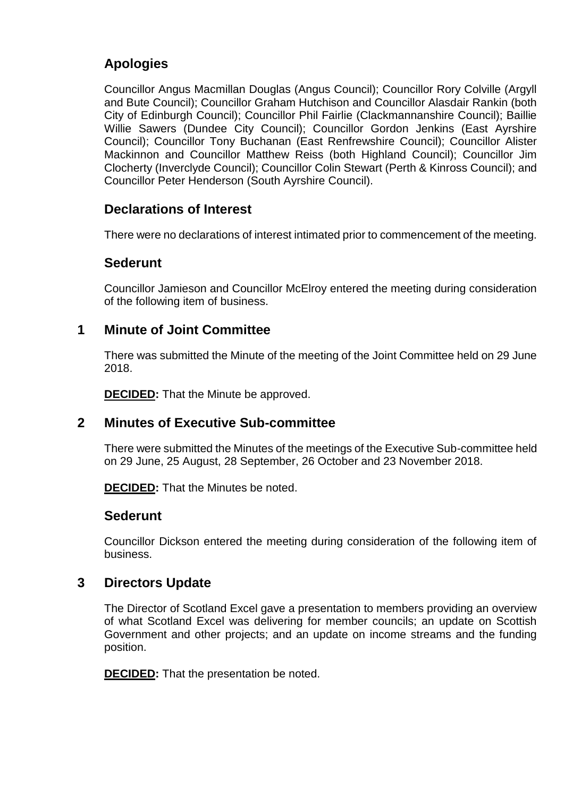# **Apologies**

Councillor Angus Macmillan Douglas (Angus Council); Councillor Rory Colville (Argyll and Bute Council); Councillor Graham Hutchison and Councillor Alasdair Rankin (both City of Edinburgh Council); Councillor Phil Fairlie (Clackmannanshire Council); Baillie Willie Sawers (Dundee City Council); Councillor Gordon Jenkins (East Ayrshire Council); Councillor Tony Buchanan (East Renfrewshire Council); Councillor Alister Mackinnon and Councillor Matthew Reiss (both Highland Council); Councillor Jim Clocherty (Inverclyde Council); Councillor Colin Stewart (Perth & Kinross Council); and Councillor Peter Henderson (South Ayrshire Council).

# **Declarations of Interest**

There were no declarations of interest intimated prior to commencement of the meeting.

### **Sederunt**

Councillor Jamieson and Councillor McElroy entered the meeting during consideration of the following item of business.

### **1 Minute of Joint Committee**

There was submitted the Minute of the meeting of the Joint Committee held on 29 June 2018.

**DECIDED:** That the Minute be approved.

### **2 Minutes of Executive Sub-committee**

There were submitted the Minutes of the meetings of the Executive Sub-committee held on 29 June, 25 August, 28 September, 26 October and 23 November 2018.

**DECIDED:** That the Minutes be noted.

#### **Sederunt**

Councillor Dickson entered the meeting during consideration of the following item of business.

### **3 Directors Update**

The Director of Scotland Excel gave a presentation to members providing an overview of what Scotland Excel was delivering for member councils; an update on Scottish Government and other projects; and an update on income streams and the funding position.

**DECIDED:** That the presentation be noted.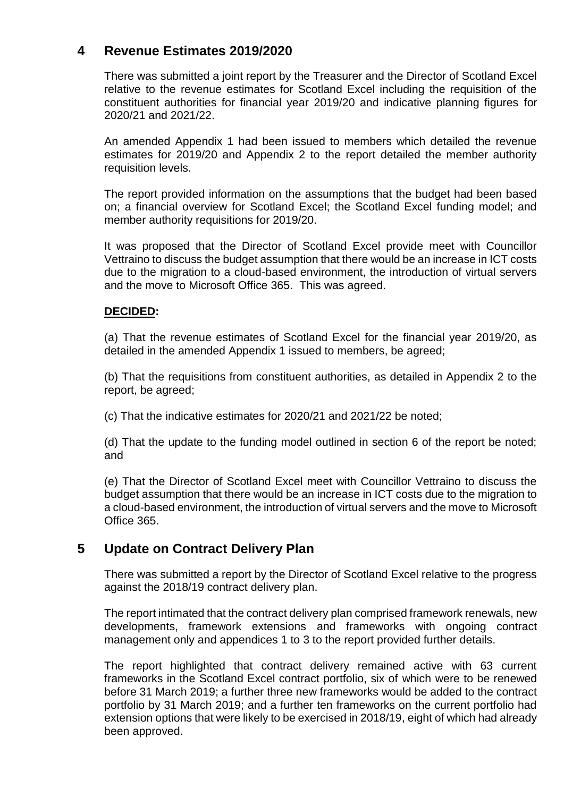## **4 Revenue Estimates 2019/2020**

There was submitted a joint report by the Treasurer and the Director of Scotland Excel relative to the revenue estimates for Scotland Excel including the requisition of the constituent authorities for financial year 2019/20 and indicative planning figures for 2020/21 and 2021/22.

An amended Appendix 1 had been issued to members which detailed the revenue estimates for 2019/20 and Appendix 2 to the report detailed the member authority requisition levels.

The report provided information on the assumptions that the budget had been based on; a financial overview for Scotland Excel; the Scotland Excel funding model; and member authority requisitions for 2019/20.

It was proposed that the Director of Scotland Excel provide meet with Councillor Vettraino to discuss the budget assumption that there would be an increase in ICT costs due to the migration to a cloud-based environment, the introduction of virtual servers and the move to Microsoft Office 365. This was agreed.

#### **DECIDED:**

(a) That the revenue estimates of Scotland Excel for the financial year 2019/20, as detailed in the amended Appendix 1 issued to members, be agreed;

(b) That the requisitions from constituent authorities, as detailed in Appendix 2 to the report, be agreed;

(c) That the indicative estimates for 2020/21 and 2021/22 be noted;

(d) That the update to the funding model outlined in section 6 of the report be noted; and

(e) That the Director of Scotland Excel meet with Councillor Vettraino to discuss the budget assumption that there would be an increase in ICT costs due to the migration to a cloud-based environment, the introduction of virtual servers and the move to Microsoft Office 365.

### **5 Update on Contract Delivery Plan**

There was submitted a report by the Director of Scotland Excel relative to the progress against the 2018/19 contract delivery plan.

The report intimated that the contract delivery plan comprised framework renewals, new developments, framework extensions and frameworks with ongoing contract management only and appendices 1 to 3 to the report provided further details.

The report highlighted that contract delivery remained active with 63 current frameworks in the Scotland Excel contract portfolio, six of which were to be renewed before 31 March 2019; a further three new frameworks would be added to the contract portfolio by 31 March 2019; and a further ten frameworks on the current portfolio had extension options that were likely to be exercised in 2018/19, eight of which had already been approved.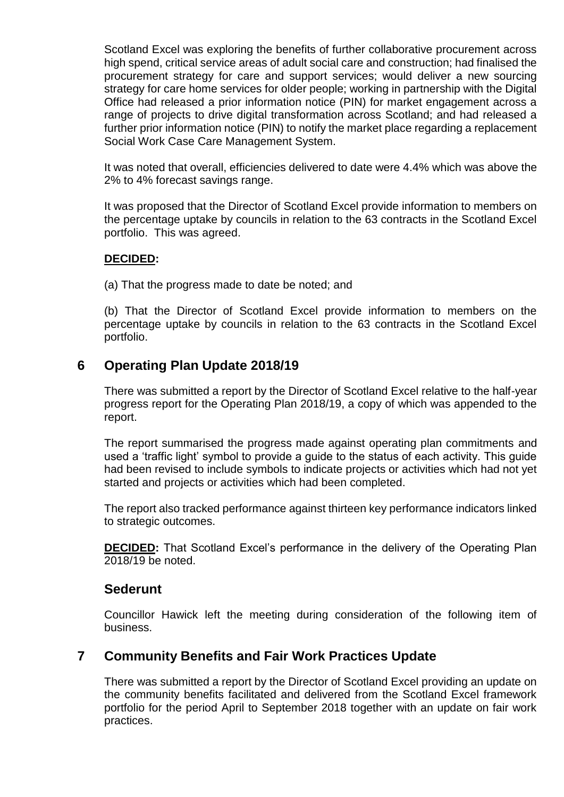Scotland Excel was exploring the benefits of further collaborative procurement across high spend, critical service areas of adult social care and construction; had finalised the procurement strategy for care and support services; would deliver a new sourcing strategy for care home services for older people; working in partnership with the Digital Office had released a prior information notice (PIN) for market engagement across a range of projects to drive digital transformation across Scotland; and had released a further prior information notice (PIN) to notify the market place regarding a replacement Social Work Case Care Management System.

It was noted that overall, efficiencies delivered to date were 4.4% which was above the 2% to 4% forecast savings range.

It was proposed that the Director of Scotland Excel provide information to members on the percentage uptake by councils in relation to the 63 contracts in the Scotland Excel portfolio. This was agreed.

#### **DECIDED:**

(a) That the progress made to date be noted; and

(b) That the Director of Scotland Excel provide information to members on the percentage uptake by councils in relation to the 63 contracts in the Scotland Excel portfolio.

### **6 Operating Plan Update 2018/19**

There was submitted a report by the Director of Scotland Excel relative to the half-year progress report for the Operating Plan 2018/19, a copy of which was appended to the report.

The report summarised the progress made against operating plan commitments and used a 'traffic light' symbol to provide a guide to the status of each activity. This guide had been revised to include symbols to indicate projects or activities which had not yet started and projects or activities which had been completed.

The report also tracked performance against thirteen key performance indicators linked to strategic outcomes.

**DECIDED:** That Scotland Excel's performance in the delivery of the Operating Plan 2018/19 be noted.

#### **Sederunt**

Councillor Hawick left the meeting during consideration of the following item of business.

### **7 Community Benefits and Fair Work Practices Update**

There was submitted a report by the Director of Scotland Excel providing an update on the community benefits facilitated and delivered from the Scotland Excel framework portfolio for the period April to September 2018 together with an update on fair work practices.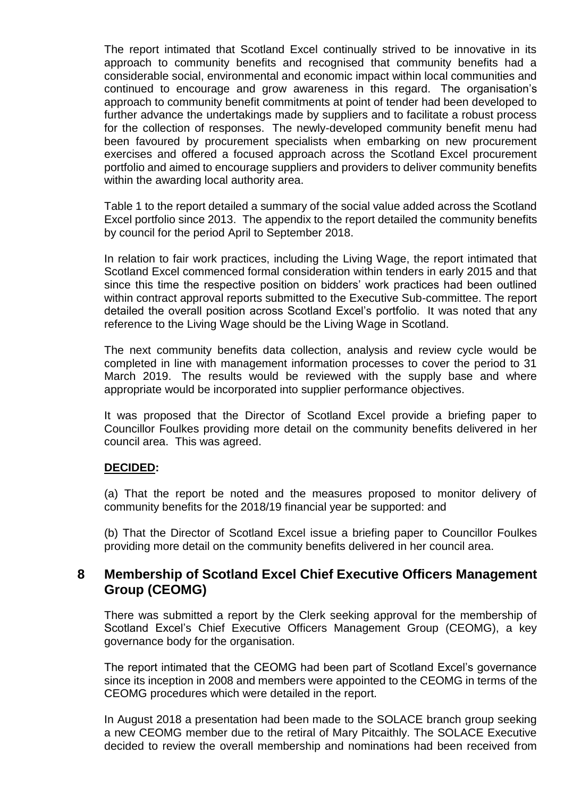The report intimated that Scotland Excel continually strived to be innovative in its approach to community benefits and recognised that community benefits had a considerable social, environmental and economic impact within local communities and continued to encourage and grow awareness in this regard. The organisation's approach to community benefit commitments at point of tender had been developed to further advance the undertakings made by suppliers and to facilitate a robust process for the collection of responses. The newly-developed community benefit menu had been favoured by procurement specialists when embarking on new procurement exercises and offered a focused approach across the Scotland Excel procurement portfolio and aimed to encourage suppliers and providers to deliver community benefits within the awarding local authority area.

Table 1 to the report detailed a summary of the social value added across the Scotland Excel portfolio since 2013. The appendix to the report detailed the community benefits by council for the period April to September 2018.

In relation to fair work practices, including the Living Wage, the report intimated that Scotland Excel commenced formal consideration within tenders in early 2015 and that since this time the respective position on bidders' work practices had been outlined within contract approval reports submitted to the Executive Sub-committee. The report detailed the overall position across Scotland Excel's portfolio. It was noted that any reference to the Living Wage should be the Living Wage in Scotland.

The next community benefits data collection, analysis and review cycle would be completed in line with management information processes to cover the period to 31 March 2019. The results would be reviewed with the supply base and where appropriate would be incorporated into supplier performance objectives.

It was proposed that the Director of Scotland Excel provide a briefing paper to Councillor Foulkes providing more detail on the community benefits delivered in her council area. This was agreed.

#### **DECIDED:**

(a) That the report be noted and the measures proposed to monitor delivery of community benefits for the 2018/19 financial year be supported: and

(b) That the Director of Scotland Excel issue a briefing paper to Councillor Foulkes providing more detail on the community benefits delivered in her council area.

### **8 Membership of Scotland Excel Chief Executive Officers Management Group (CEOMG)**

There was submitted a report by the Clerk seeking approval for the membership of Scotland Excel's Chief Executive Officers Management Group (CEOMG), a key governance body for the organisation.

The report intimated that the CEOMG had been part of Scotland Excel's governance since its inception in 2008 and members were appointed to the CEOMG in terms of the CEOMG procedures which were detailed in the report.

In August 2018 a presentation had been made to the SOLACE branch group seeking a new CEOMG member due to the retiral of Mary Pitcaithly. The SOLACE Executive decided to review the overall membership and nominations had been received from